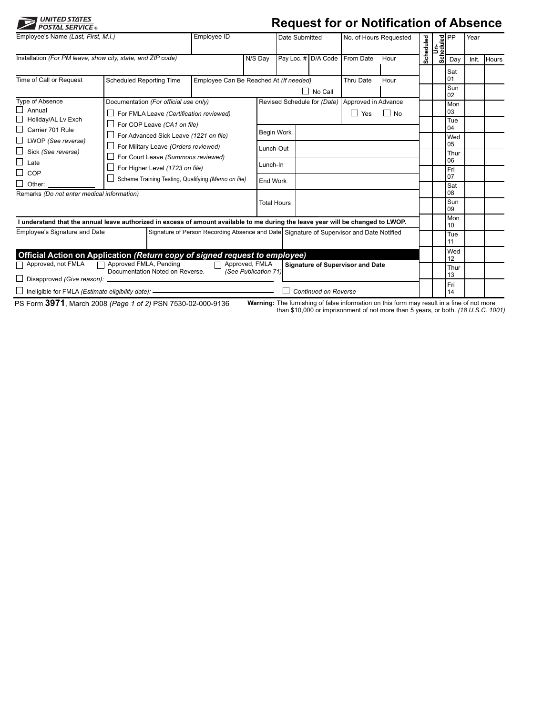

## **Request for or Notification of Absence**

| Employee's Name (Last, First, M.I.)                                                                                                                                                     |                                                                       | Employee ID                                                                                                               |                       | Date Submitted              |                   | No. of Hours Requested            |            | Scheduled | <b>Christian Property</b> |                        | Year  |       |
|-----------------------------------------------------------------------------------------------------------------------------------------------------------------------------------------|-----------------------------------------------------------------------|---------------------------------------------------------------------------------------------------------------------------|-----------------------|-----------------------------|-------------------|-----------------------------------|------------|-----------|---------------------------|------------------------|-------|-------|
| Installation (For PM leave, show city, state, and ZIP code)                                                                                                                             |                                                                       |                                                                                                                           | N/S Dav               |                             |                   | Pay Loc. # D/A Code From Date     | Hour       |           |                           | Day                    | Init. | Hours |
| Time of Call or Request<br>Employee Can Be Reached At (If needed)<br><b>Scheduled Reporting Time</b>                                                                                    |                                                                       |                                                                                                                           |                       |                             | Thru Date<br>Hour |                                   |            |           |                           | Sat<br>01              |       |       |
|                                                                                                                                                                                         |                                                                       |                                                                                                                           |                       |                             | No Call           |                                   |            |           |                           | Sun<br>02              |       |       |
| <b>Type of Absence</b><br>$\Box$ Annual<br>Holiday/AL Lv Exch<br>Carrier 701 Rule<br>$\Box$ LWOP (See reverse)<br>Sick (See reverse)<br>$\Box$ Late                                     | Documentation (For official use only)                                 | For FMLA Leave (Certification reviewed)<br>For Advanced Sick Leave (1221 on file)<br>For Military Leave (Orders reviewed) |                       | Revised Schedule for (Date) |                   | Approved in Advance<br>$\Box$ Yes | $\Box$ No  |           |                           | Mon<br>03              |       |       |
|                                                                                                                                                                                         | For COP Leave (CA1 on file)                                           |                                                                                                                           |                       | <b>Begin Work</b>           |                   |                                   |            |           |                           | Tue<br>04<br>Wed<br>05 |       |       |
|                                                                                                                                                                                         | For Court Leave (Summons reviewed)<br>For Higher Level (1723 on file) |                                                                                                                           | Lunch-Out<br>Lunch-In |                             |                   |                                   |            |           |                           | Thur<br>06<br>Fri      |       |       |
| COP<br>$\Box$ Other:                                                                                                                                                                    | Scheme Training Testing, Qualifying (Memo on file)                    | End Work                                                                                                                  |                       |                             |                   |                                   |            |           | 07<br>Sat                 |                        |       |       |
| Remarks (Do not enter medical information)                                                                                                                                              |                                                                       |                                                                                                                           |                       | <b>Total Hours</b>          |                   |                                   |            |           |                           | 08<br>Sun<br>09        |       |       |
| I understand that the annual leave authorized in excess of amount available to me during the leave year will be changed to LWOP.                                                        |                                                                       |                                                                                                                           |                       |                             |                   |                                   |            |           |                           | Mon<br>10              |       |       |
| Signature of Person Recording Absence and Date Signature of Supervisor and Date Notified<br><b>Employee's Signature and Date</b>                                                        |                                                                       |                                                                                                                           |                       |                             |                   |                                   |            |           |                           | Tue<br>11              |       |       |
| Official Action on Application (Return copy of signed request to employee)<br>Approved FMLA, Pending<br>Approved, not FMLA<br>Approved, FMLA<br><b>Signature of Supervisor and Date</b> |                                                                       |                                                                                                                           |                       |                             |                   |                                   |            | Wed<br>12 |                           |                        |       |       |
| Documentation Noted on Reverse.<br>(See Publication 71)<br>Disapproved (Give reason): _                                                                                                 |                                                                       |                                                                                                                           |                       |                             |                   |                                   | Thur<br>13 |           |                           |                        |       |       |
| Continued on Reverse<br>Ineligible for FMLA (Estimate eligibility date): ————————————————————                                                                                           |                                                                       |                                                                                                                           |                       |                             |                   |                                   | Fri<br>14  |           |                           |                        |       |       |

PS Form **3971**, March 2008 *(Page 1 of 2)* PSN 7530-02-000-9136

**Warning:** The furnishing of false information on this form may result in a fine of not more than \$10,000 or imprisonment of not more than 5 years, or both. *(18 U.S.C. 1001)*